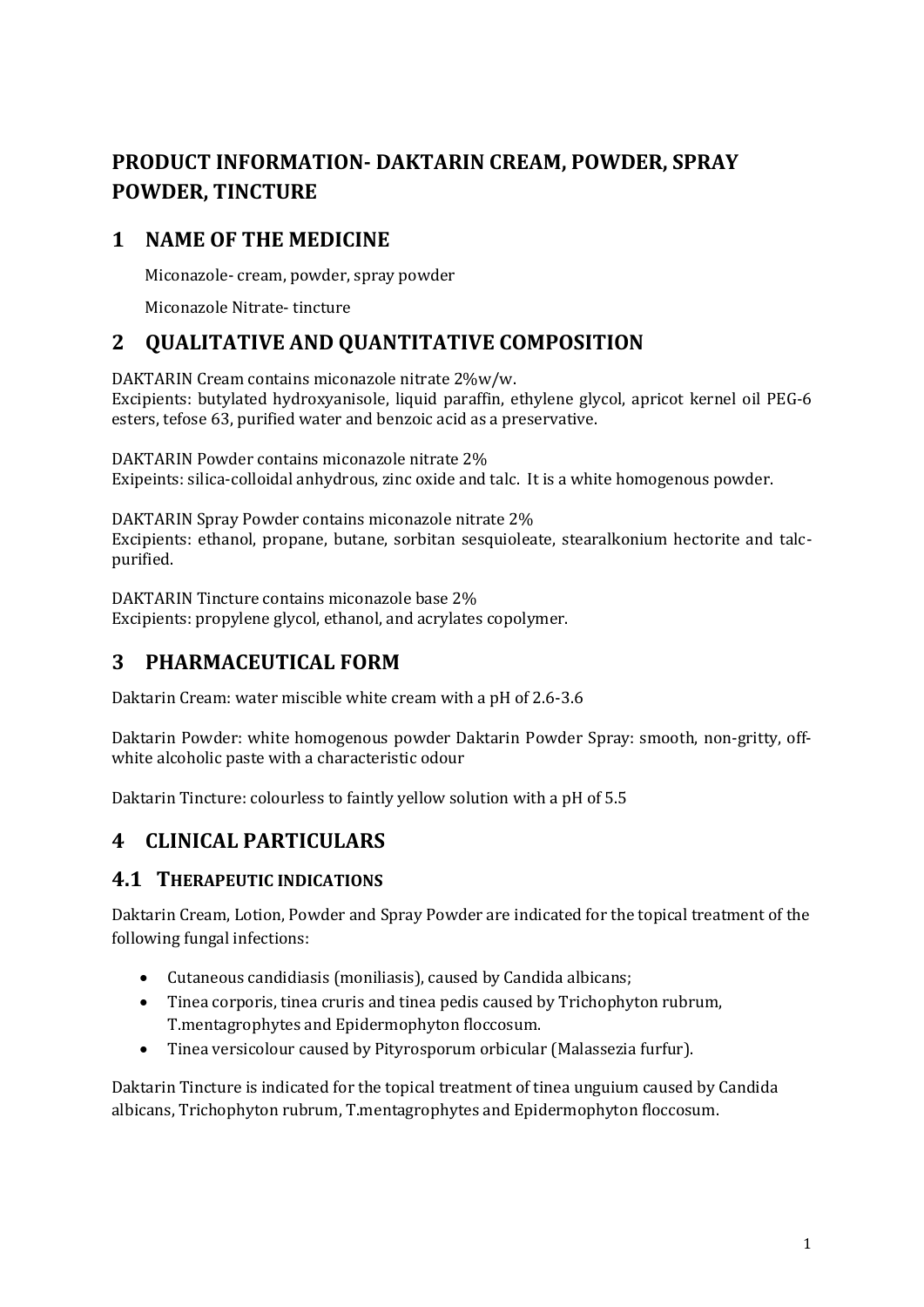# **PRODUCT INFORMATION- DAKTARIN CREAM, POWDER, SPRAY POWDER, TINCTURE**

# **1 NAME OF THE MEDICINE**

Miconazole- cream, powder, spray powder

Miconazole Nitrate- tincture

# **2 QUALITATIVE AND QUANTITATIVE COMPOSITION**

DAKTARIN Cream contains miconazole nitrate 2%w/w. Excipients: butylated hydroxyanisole, liquid paraffin, ethylene glycol, apricot kernel oil PEG-6 esters, tefose 63, purified water and benzoic acid as a preservative.

DAKTARIN Powder contains miconazole nitrate 2% Exipeints: silica-colloidal anhydrous, zinc oxide and talc. It is a white homogenous powder.

DAKTARIN Spray Powder contains miconazole nitrate 2% Excipients: ethanol, propane, butane, sorbitan sesquioleate, stearalkonium hectorite and talcpurified.

DAKTARIN Tincture contains miconazole base 2% Excipients: propylene glycol, ethanol, and acrylates copolymer.

# **3 PHARMACEUTICAL FORM**

Daktarin Cream: water miscible white cream with a pH of 2.6-3.6

Daktarin Powder: white homogenous powder Daktarin Powder Spray: smooth, non-gritty, offwhite alcoholic paste with a characteristic odour

Daktarin Tincture: colourless to faintly yellow solution with a pH of 5.5

# **4 CLINICAL PARTICULARS**

## **4.1 THERAPEUTIC INDICATIONS**

Daktarin Cream, Lotion, Powder and Spray Powder are indicated for the topical treatment of the following fungal infections:

- Cutaneous candidiasis (moniliasis), caused by Candida albicans;
- Tinea corporis, tinea cruris and tinea pedis caused by Trichophyton rubrum, T.mentagrophytes and Epidermophyton floccosum.
- Tinea versicolour caused by Pityrosporum orbicular (Malassezia furfur).

Daktarin Tincture is indicated for the topical treatment of tinea unguium caused by Candida albicans, Trichophyton rubrum, T.mentagrophytes and Epidermophyton floccosum.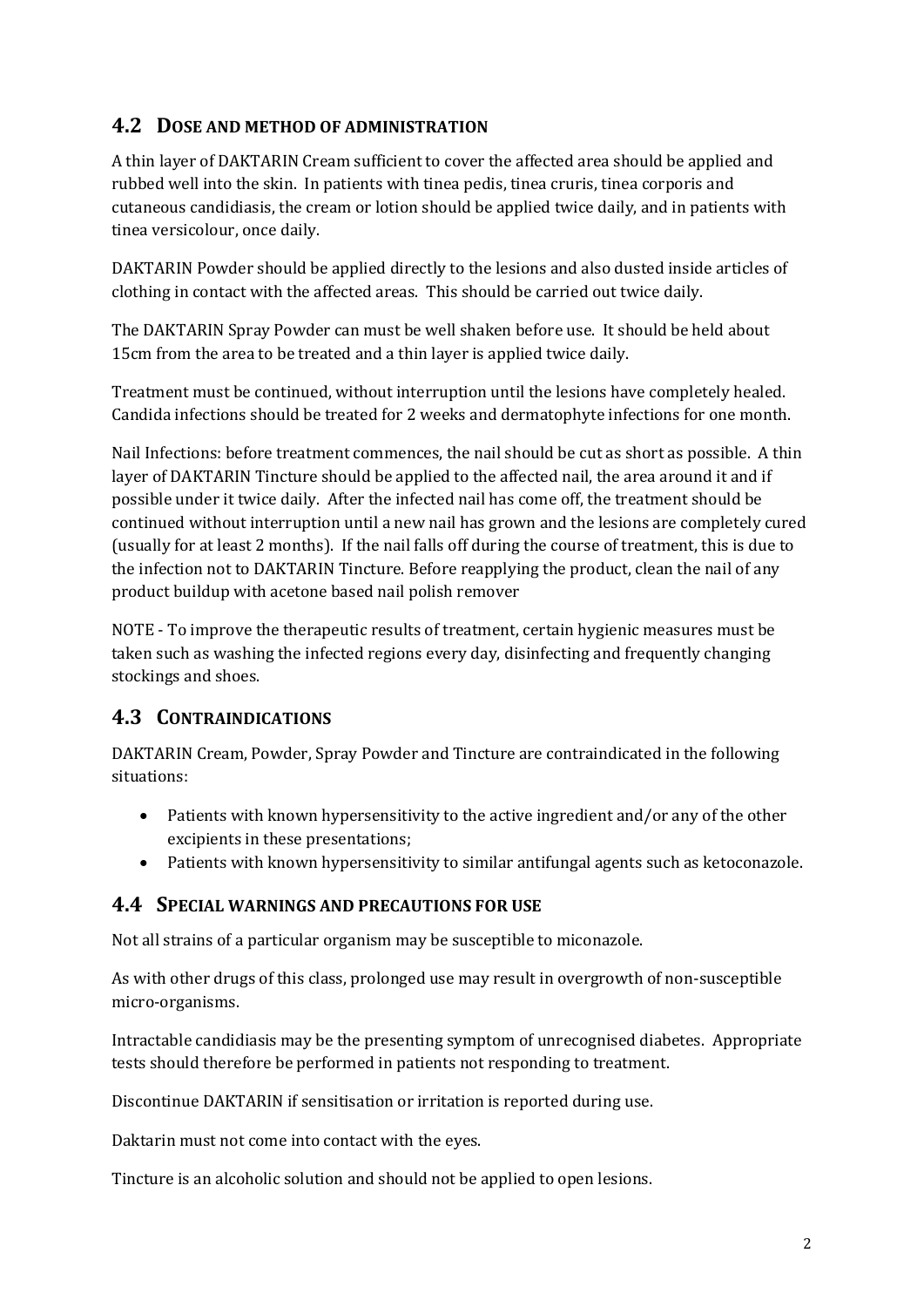## **4.2 DOSE AND METHOD OF ADMINISTRATION**

A thin layer of DAKTARIN Cream sufficient to cover the affected area should be applied and rubbed well into the skin. In patients with tinea pedis, tinea cruris, tinea corporis and cutaneous candidiasis, the cream or lotion should be applied twice daily, and in patients with tinea versicolour, once daily.

DAKTARIN Powder should be applied directly to the lesions and also dusted inside articles of clothing in contact with the affected areas. This should be carried out twice daily.

The DAKTARIN Spray Powder can must be well shaken before use. It should be held about 15cm from the area to be treated and a thin layer is applied twice daily.

Treatment must be continued, without interruption until the lesions have completely healed. Candida infections should be treated for 2 weeks and dermatophyte infections for one month.

Nail Infections: before treatment commences, the nail should be cut as short as possible. A thin layer of DAKTARIN Tincture should be applied to the affected nail, the area around it and if possible under it twice daily. After the infected nail has come off, the treatment should be continued without interruption until a new nail has grown and the lesions are completely cured (usually for at least 2 months). If the nail falls off during the course of treatment, this is due to the infection not to DAKTARIN Tincture. Before reapplying the product, clean the nail of any product buildup with acetone based nail polish remover

NOTE - To improve the therapeutic results of treatment, certain hygienic measures must be taken such as washing the infected regions every day, disinfecting and frequently changing stockings and shoes.

## **4.3 CONTRAINDICATIONS**

DAKTARIN Cream, Powder, Spray Powder and Tincture are contraindicated in the following situations:

- Patients with known hypersensitivity to the active ingredient and/or any of the other excipients in these presentations;
- Patients with known hypersensitivity to similar antifungal agents such as ketoconazole.

### **4.4 SPECIAL WARNINGS AND PRECAUTIONS FOR USE**

Not all strains of a particular organism may be susceptible to miconazole.

As with other drugs of this class, prolonged use may result in overgrowth of non-susceptible micro-organisms.

Intractable candidiasis may be the presenting symptom of unrecognised diabetes. Appropriate tests should therefore be performed in patients not responding to treatment.

Discontinue DAKTARIN if sensitisation or irritation is reported during use.

Daktarin must not come into contact with the eyes.

Tincture is an alcoholic solution and should not be applied to open lesions.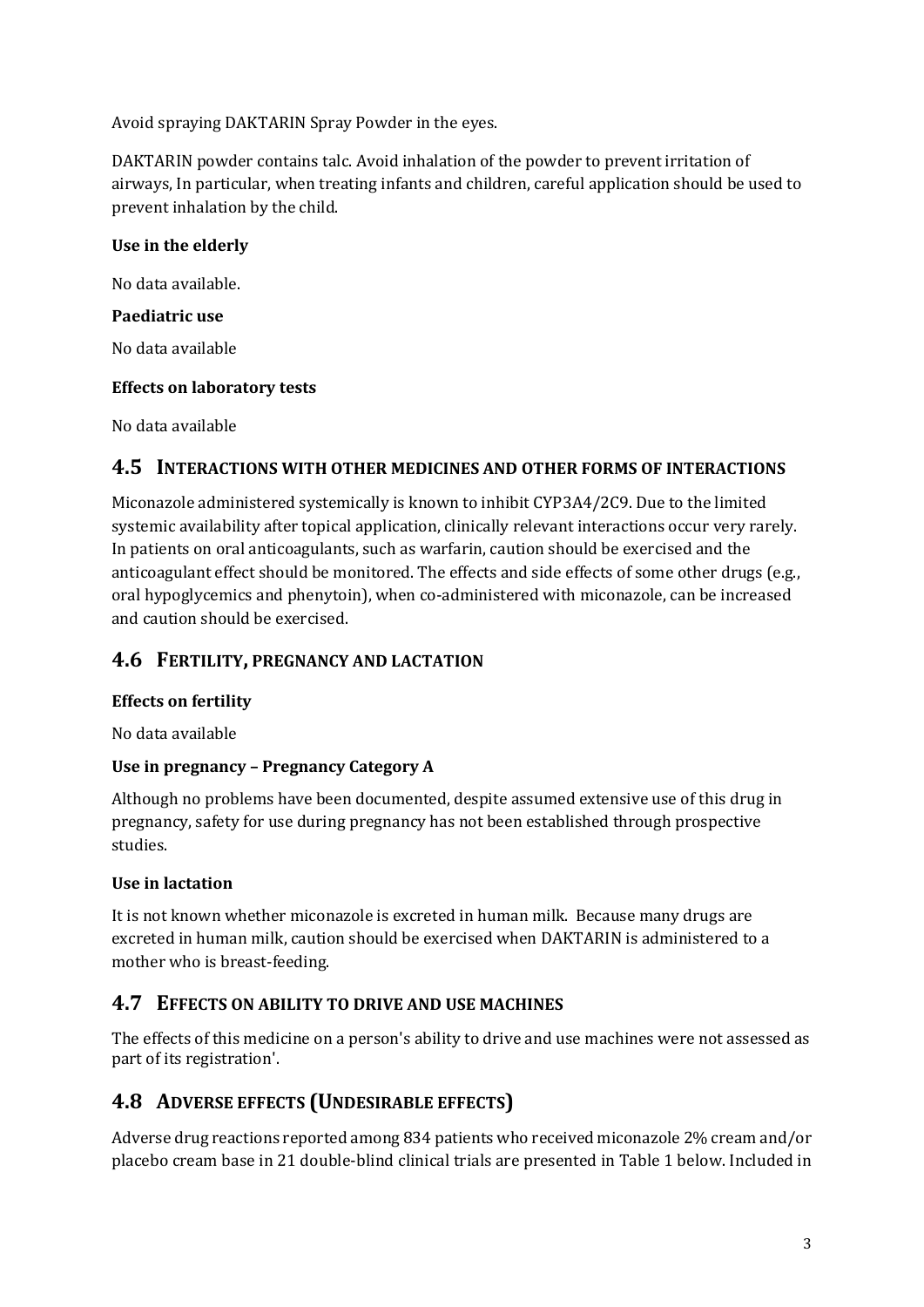Avoid spraying DAKTARIN Spray Powder in the eyes.

DAKTARIN powder contains talc. Avoid inhalation of the powder to prevent irritation of airways, In particular, when treating infants and children, careful application should be used to prevent inhalation by the child.

### **Use in the elderly**

No data available.

#### **Paediatric use**

No data available

#### **Effects on laboratory tests**

No data available

### **4.5 INTERACTIONS WITH OTHER MEDICINES AND OTHER FORMS OF INTERACTIONS**

Miconazole administered systemically is known to inhibit CYP3A4/2C9. Due to the limited systemic availability after topical application, clinically relevant interactions occur very rarely. In patients on oral anticoagulants, such as warfarin, caution should be exercised and the anticoagulant effect should be monitored. The effects and side effects of some other drugs (e.g., oral hypoglycemics and phenytoin), when co-administered with miconazole, can be increased and caution should be exercised.

## **4.6 FERTILITY, PREGNANCY AND LACTATION**

### **Effects on fertility**

No data available

### **Use in pregnancy – Pregnancy Category A**

Although no problems have been documented, despite assumed extensive use of this drug in pregnancy, safety for use during pregnancy has not been established through prospective studies.

### **Use in lactation**

It is not known whether miconazole is excreted in human milk. Because many drugs are excreted in human milk, caution should be exercised when DAKTARIN is administered to a mother who is breast-feeding.

## **4.7 EFFECTS ON ABILITY TO DRIVE AND USE MACHINES**

The effects of this medicine on a person's ability to drive and use machines were not assessed as part of its registration'.

## **4.8 ADVERSE EFFECTS (UNDESIRABLE EFFECTS)**

Adverse drug reactions reported among 834 patients who received miconazole 2% cream and/or placebo cream base in 21 double-blind clinical trials are presented in Table 1 below. Included in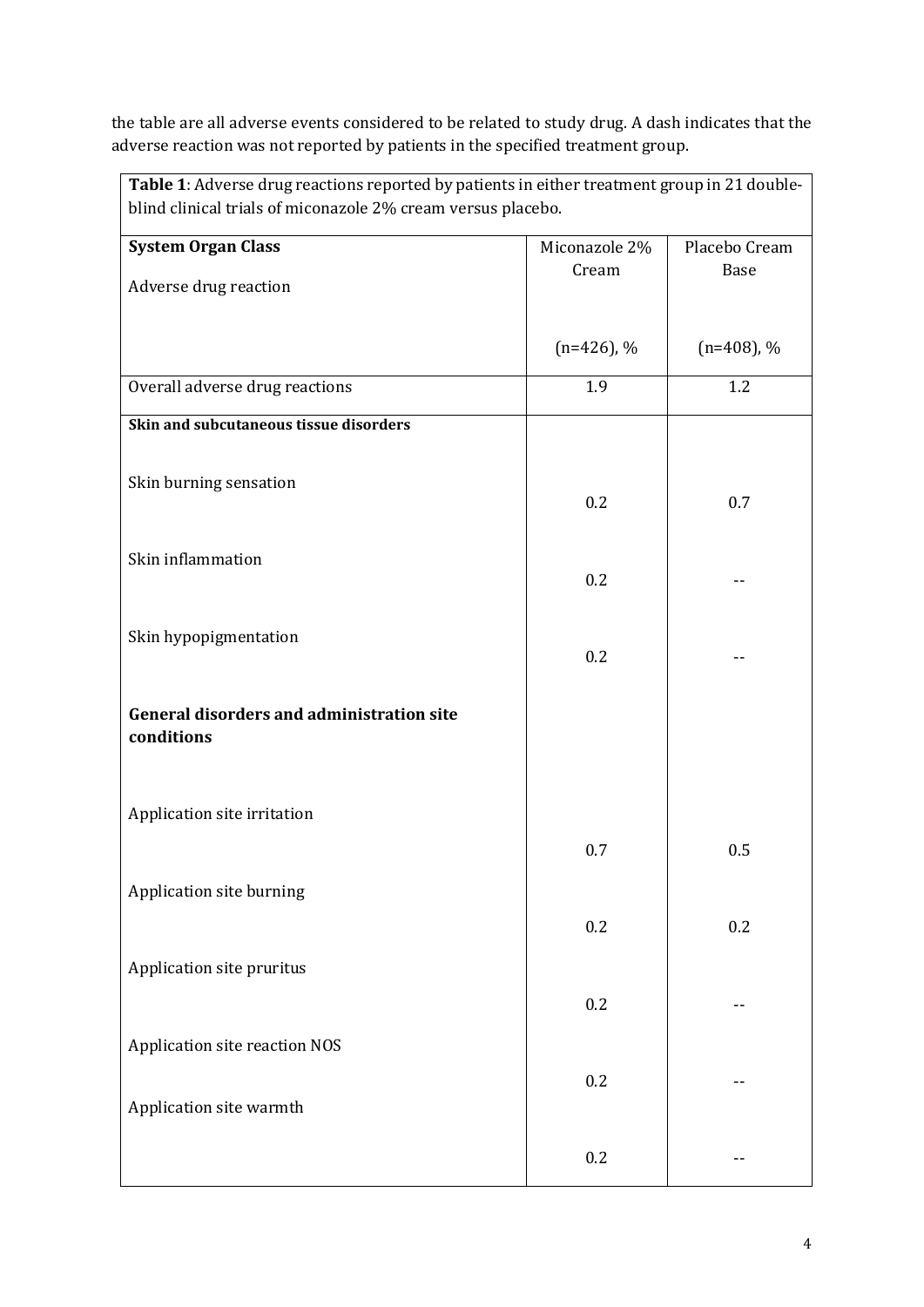the table are all adverse events considered to be related to study drug. A dash indicates that the adverse reaction was not reported by patients in the specified treatment group.

| Table 1: Adverse drug reactions reported by patients in either treatment group in 21 double-<br>blind clinical trials of miconazole 2% cream versus placebo. |               |               |
|--------------------------------------------------------------------------------------------------------------------------------------------------------------|---------------|---------------|
| <b>System Organ Class</b>                                                                                                                                    | Miconazole 2% | Placebo Cream |
| Adverse drug reaction                                                                                                                                        | Cream         | <b>Base</b>   |
|                                                                                                                                                              | $(n=426)$ , % | $(n=408)$ , % |
| Overall adverse drug reactions                                                                                                                               | 1.9           | 1.2           |
| Skin and subcutaneous tissue disorders                                                                                                                       |               |               |
| Skin burning sensation                                                                                                                                       | 0.2           | 0.7           |
| Skin inflammation                                                                                                                                            | 0.2           |               |
| Skin hypopigmentation                                                                                                                                        | 0.2           |               |
| <b>General disorders and administration site</b><br>conditions                                                                                               |               |               |
| Application site irritation                                                                                                                                  |               |               |
|                                                                                                                                                              | 0.7           | 0.5           |
| Application site burning                                                                                                                                     | 0.2           | 0.2           |
| Application site pruritus                                                                                                                                    |               |               |
|                                                                                                                                                              | 0.2           |               |
| Application site reaction NOS                                                                                                                                | 0.2           |               |
| Application site warmth                                                                                                                                      | 0.2           |               |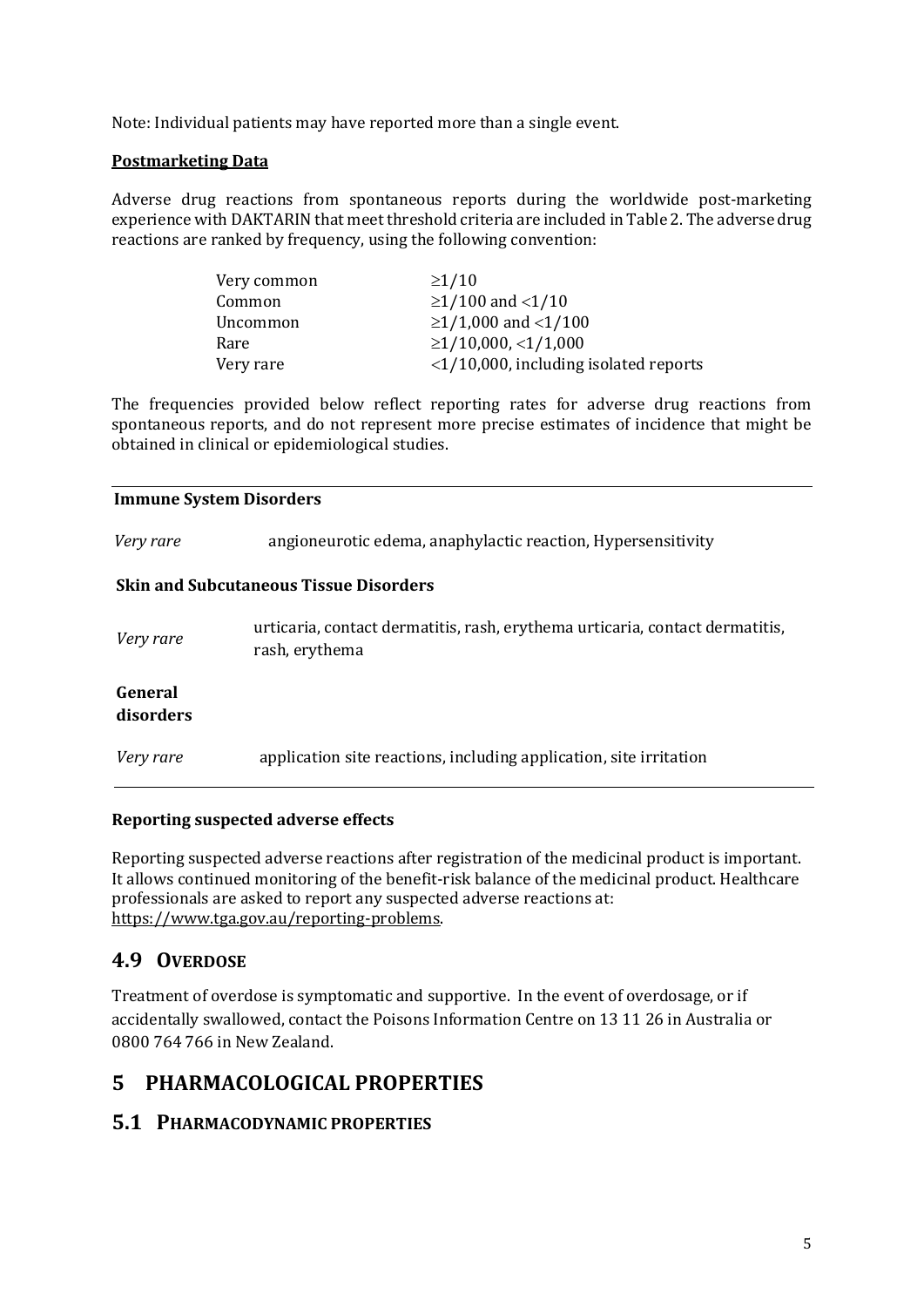Note: Individual patients may have reported more than a single event.

#### **Postmarketing Data**

Adverse drug reactions from spontaneous reports during the worldwide post-marketing experience with DAKTARIN that meet threshold criteria are included in Table 2. The adverse drug reactions are ranked by frequency, using the following convention:

| Very common | $\geq$ 1/10                                    |
|-------------|------------------------------------------------|
| Common      | $\geq$ 1/100 and <1/10                         |
| Uncommon    | $\geq$ 1/1,000 and <1/100                      |
| Rare        | $\geq$ 1/10,000, <1/1,000                      |
| Very rare   | $\langle 1/10,000,$ including isolated reports |

The frequencies provided below reflect reporting rates for adverse drug reactions from spontaneous reports, and do not represent more precise estimates of incidence that might be obtained in clinical or epidemiological studies.

#### **Immune System Disorders**

| Very rare            | angioneurotic edema, anaphylactic reaction, Hypersensitivity                                   |
|----------------------|------------------------------------------------------------------------------------------------|
|                      | <b>Skin and Subcutaneous Tissue Disorders</b>                                                  |
| Very rare            | urticaria, contact dermatitis, rash, erythema urticaria, contact dermatitis,<br>rash, erythema |
| General<br>disorders |                                                                                                |
| Very rare            | application site reactions, including application, site irritation                             |

#### **Reporting suspected adverse effects**

Reporting suspected adverse reactions after registration of the medicinal product is important. It allows continued monitoring of the benefit-risk balance of the medicinal product. Healthcare professionals are asked to report any suspected adverse reactions at: [https://www.tga.gov.au/reporting-problems.](https://www.tga.gov.au/reporting-problems)

## **4.9 OVERDOSE**

Treatment of overdose is symptomatic and supportive. In the event of overdosage, or if accidentally swallowed, contact the Poisons Information Centre on 13 11 26 in Australia or 0800 764 766 in New Zealand.

# **5 PHARMACOLOGICAL PROPERTIES**

## **5.1 PHARMACODYNAMIC PROPERTIES**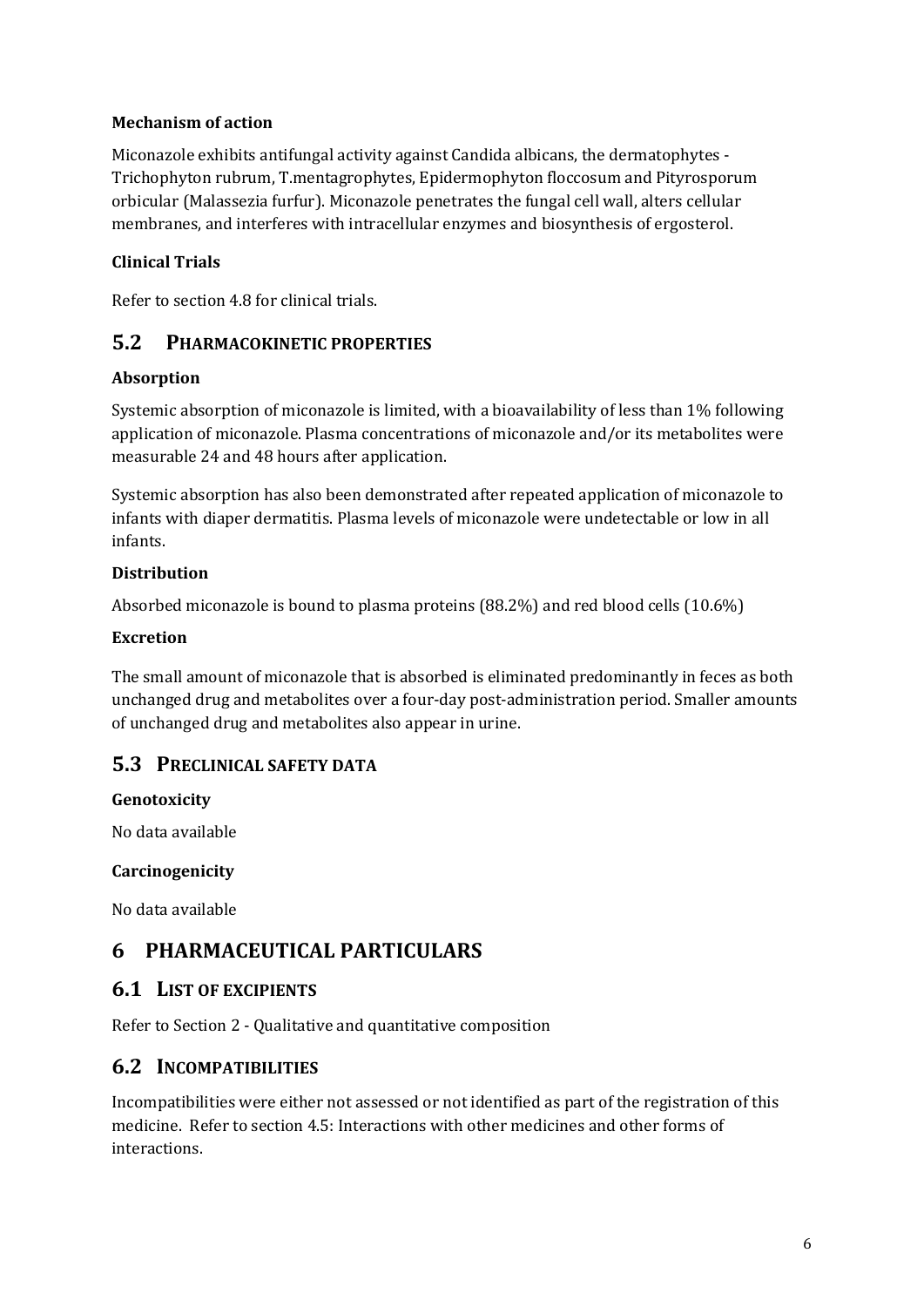#### **Mechanism of action**

Miconazole exhibits antifungal activity against Candida albicans, the dermatophytes - Trichophyton rubrum, T.mentagrophytes, Epidermophyton floccosum and Pityrosporum orbicular (Malassezia furfur). Miconazole penetrates the fungal cell wall, alters cellular membranes, and interferes with intracellular enzymes and biosynthesis of ergosterol.

### **Clinical Trials**

Refer to section 4.8 for clinical trials.

### **5.2 PHARMACOKINETIC PROPERTIES**

#### **Absorption**

Systemic absorption of miconazole is limited, with a bioavailability of less than 1% following application of miconazole. Plasma concentrations of miconazole and/or its metabolites were measurable 24 and 48 hours after application.

Systemic absorption has also been demonstrated after repeated application of miconazole to infants with diaper dermatitis. Plasma levels of miconazole were undetectable or low in all infants.

#### **Distribution**

Absorbed miconazole is bound to plasma proteins (88.2%) and red blood cells (10.6%)

#### **Excretion**

The small amount of miconazole that is absorbed is eliminated predominantly in feces as both unchanged drug and metabolites over a four-day post-administration period. Smaller amounts of unchanged drug and metabolites also appear in urine.

### **5.3 PRECLINICAL SAFETY DATA**

#### **Genotoxicity**

No data available

#### **Carcinogenicity**

No data available

# **6 PHARMACEUTICAL PARTICULARS**

### **6.1 LIST OF EXCIPIENTS**

Refer to Section 2 - Qualitative and quantitative composition

## **6.2 INCOMPATIBILITIES**

Incompatibilities were either not assessed or not identified as part of the registration of this medicine. Refer to section 4.5: Interactions with other medicines and other forms of interactions.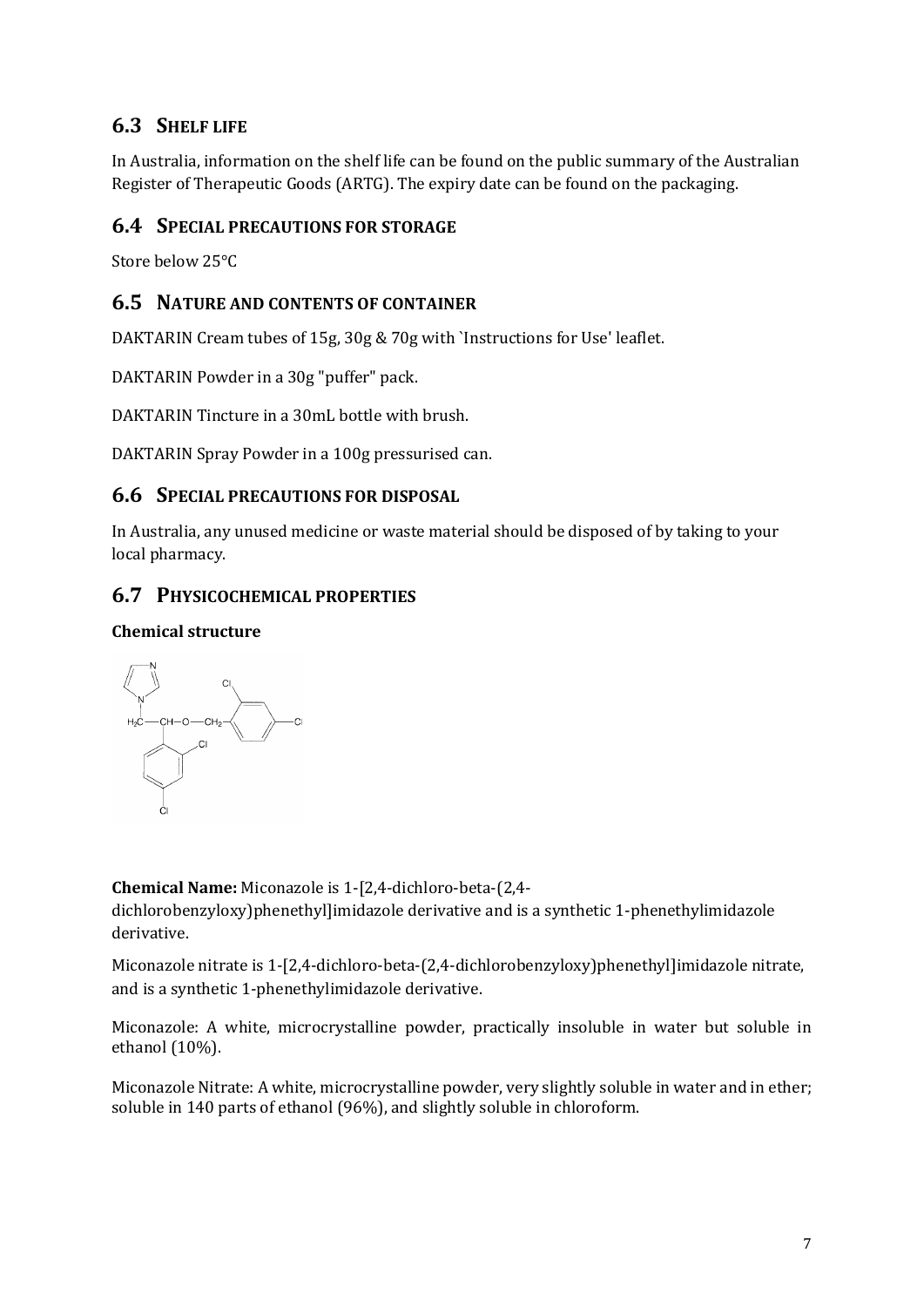## **6.3 SHELF LIFE**

In Australia, information on the shelf life can be found on the public summary of the Australian Register of Therapeutic Goods (ARTG). The expiry date can be found on the packaging.

### **6.4 SPECIAL PRECAUTIONS FOR STORAGE**

Store below 25°C

## **6.5 NATURE AND CONTENTS OF CONTAINER**

DAKTARIN Cream tubes of 15g, 30g & 70g with `Instructions for Use' leaflet.

DAKTARIN Powder in a 30g "puffer" pack.

DAKTARIN Tincture in a 30mL bottle with brush.

DAKTARIN Spray Powder in a 100g pressurised can.

### **6.6 SPECIAL PRECAUTIONS FOR DISPOSAL**

In Australia, any unused medicine or waste material should be disposed of by taking to your local pharmacy.

### **6.7 PHYSICOCHEMICAL PROPERTIES**

#### **Chemical structure**



**Chemical Name:** Miconazole is 1-[2,4-dichloro-beta-(2,4 dichlorobenzyloxy)phenethyl]imidazole derivative and is a synthetic 1-phenethylimidazole derivative.

Miconazole nitrate is 1-[2,4-dichloro-beta-(2,4-dichlorobenzyloxy)phenethyl]imidazole nitrate, and is a synthetic 1-phenethylimidazole derivative.

Miconazole: A white, microcrystalline powder, practically insoluble in water but soluble in ethanol (10%).

Miconazole Nitrate: A white, microcrystalline powder, very slightly soluble in water and in ether; soluble in 140 parts of ethanol (96%), and slightly soluble in chloroform.